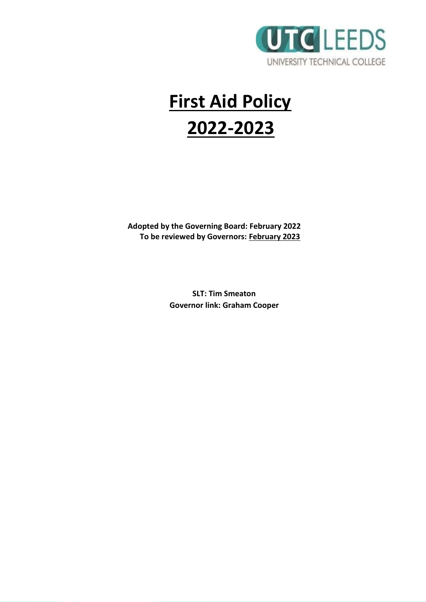

# **First Aid Policy 2022-2023**

**Adopted by the Governing Board: February 2022 To be reviewed by Governors: February 2023**

> **SLT: Tim Smeaton Governor link: Graham Cooper**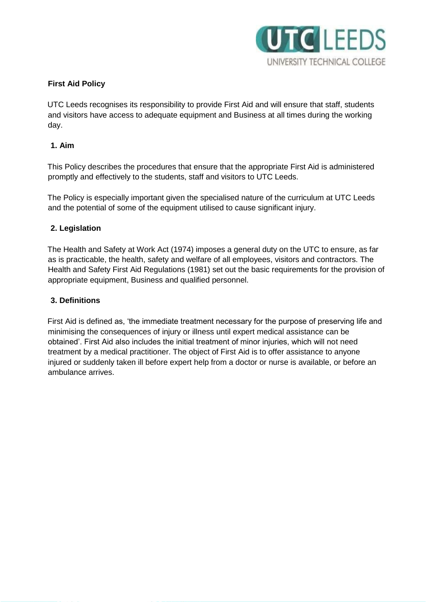

## **First Aid Policy**

UTC Leeds recognises its responsibility to provide First Aid and will ensure that staff, students and visitors have access to adequate equipment and Business at all times during the working day.

## **1. Aim**

This Policy describes the procedures that ensure that the appropriate First Aid is administered promptly and effectively to the students, staff and visitors to UTC Leeds.

The Policy is especially important given the specialised nature of the curriculum at UTC Leeds and the potential of some of the equipment utilised to cause significant injury.

## **2. Legislation**

The Health and Safety at Work Act (1974) imposes a general duty on the UTC to ensure, as far as is practicable, the health, safety and welfare of all employees, visitors and contractors. The Health and Safety First Aid Regulations (1981) set out the basic requirements for the provision of appropriate equipment, Business and qualified personnel.

## **3. Definitions**

First Aid is defined as, 'the immediate treatment necessary for the purpose of preserving life and minimising the consequences of injury or illness until expert medical assistance can be obtained'. First Aid also includes the initial treatment of minor injuries, which will not need treatment by a medical practitioner. The object of First Aid is to offer assistance to anyone injured or suddenly taken ill before expert help from a doctor or nurse is available, or before an ambulance arrives.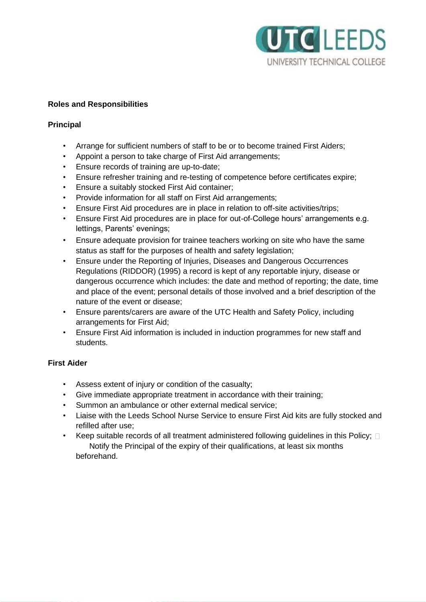

## **Roles and Responsibilities**

## **Principal**

- Arrange for sufficient numbers of staff to be or to become trained First Aiders;
- Appoint a person to take charge of First Aid arrangements;
- Ensure records of training are up-to-date;
- Ensure refresher training and re-testing of competence before certificates expire;
- Ensure a suitably stocked First Aid container;
- Provide information for all staff on First Aid arrangements;
- Ensure First Aid procedures are in place in relation to off-site activities/trips;
- Ensure First Aid procedures are in place for out-of-College hours' arrangements e.g. lettings, Parents' evenings;
- Ensure adequate provision for trainee teachers working on site who have the same status as staff for the purposes of health and safety legislation;
- Ensure under the Reporting of Injuries, Diseases and Dangerous Occurrences Regulations (RIDDOR) (1995) a record is kept of any reportable injury, disease or dangerous occurrence which includes: the date and method of reporting; the date, time and place of the event; personal details of those involved and a brief description of the nature of the event or disease;
- Ensure parents/carers are aware of the UTC Health and Safety Policy, including arrangements for First Aid;
- Ensure First Aid information is included in induction programmes for new staff and students.

## **First Aider**

- Assess extent of injury or condition of the casualty;
- Give immediate appropriate treatment in accordance with their training;
- Summon an ambulance or other external medical service;
- Liaise with the Leeds School Nurse Service to ensure First Aid kits are fully stocked and refilled after use;
- Keep suitable records of all treatment administered following guidelines in this Policy;  $\Box$ Notify the Principal of the expiry of their qualifications, at least six months beforehand.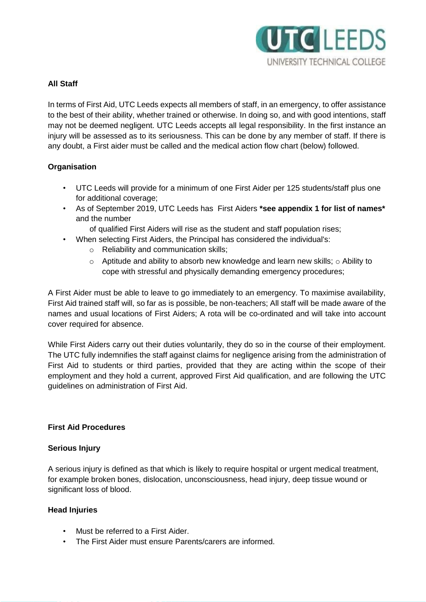

## **All Staff**

In terms of First Aid, UTC Leeds expects all members of staff, in an emergency, to offer assistance to the best of their ability, whether trained or otherwise. In doing so, and with good intentions, staff may not be deemed negligent. UTC Leeds accepts all legal responsibility. In the first instance an injury will be assessed as to its seriousness. This can be done by any member of staff. If there is any doubt, a First aider must be called and the medical action flow chart (below) followed.

## **Organisation**

- UTC Leeds will provide for a minimum of one First Aider per 125 students/staff plus one for additional coverage;
- As of September 2019, UTC Leeds has First Aiders **\*see appendix 1 for list of names\***  and the number
	- of qualified First Aiders will rise as the student and staff population rises;
- When selecting First Aiders, the Principal has considered the individual's:
	- o Reliability and communication skills;
	- $\circ$  Aptitude and ability to absorb new knowledge and learn new skills;  $\circ$  Ability to cope with stressful and physically demanding emergency procedures;

A First Aider must be able to leave to go immediately to an emergency. To maximise availability, First Aid trained staff will, so far as is possible, be non-teachers; All staff will be made aware of the names and usual locations of First Aiders; A rota will be co-ordinated and will take into account cover required for absence.

While First Aiders carry out their duties voluntarily, they do so in the course of their employment. The UTC fully indemnifies the staff against claims for negligence arising from the administration of First Aid to students or third parties, provided that they are acting within the scope of their employment and they hold a current, approved First Aid qualification, and are following the UTC guidelines on administration of First Aid.

## **First Aid Procedures**

## **Serious Injury**

A serious injury is defined as that which is likely to require hospital or urgent medical treatment, for example broken bones, dislocation, unconsciousness, head injury, deep tissue wound or significant loss of blood.

## **Head Injuries**

- Must be referred to a First Aider.
- The First Aider must ensure Parents/carers are informed.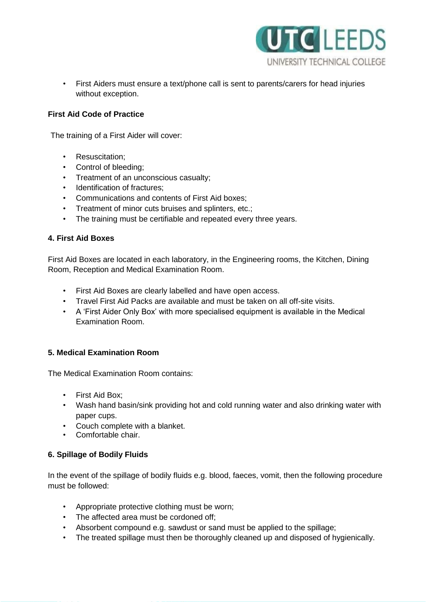

• First Aiders must ensure a text/phone call is sent to parents/carers for head injuries without exception.

## **First Aid Code of Practice**

The training of a First Aider will cover:

- Resuscitation;
- Control of bleeding;
- Treatment of an unconscious casualty;
- Identification of fractures;
- Communications and contents of First Aid boxes;
- Treatment of minor cuts bruises and splinters, etc.;
- The training must be certifiable and repeated every three years.

## **4. First Aid Boxes**

First Aid Boxes are located in each laboratory, in the Engineering rooms, the Kitchen, Dining Room, Reception and Medical Examination Room.

- First Aid Boxes are clearly labelled and have open access.
- Travel First Aid Packs are available and must be taken on all off-site visits.
- A 'First Aider Only Box' with more specialised equipment is available in the Medical Examination Room.

## **5. Medical Examination Room**

The Medical Examination Room contains:

- First Aid Box;
- Wash hand basin/sink providing hot and cold running water and also drinking water with paper cups.
- Couch complete with a blanket.
- Comfortable chair.

## **6. Spillage of Bodily Fluids**

In the event of the spillage of bodily fluids e.g. blood, faeces, vomit, then the following procedure must be followed:

- Appropriate protective clothing must be worn;
- The affected area must be cordoned off;
- Absorbent compound e.g. sawdust or sand must be applied to the spillage;
- The treated spillage must then be thoroughly cleaned up and disposed of hygienically.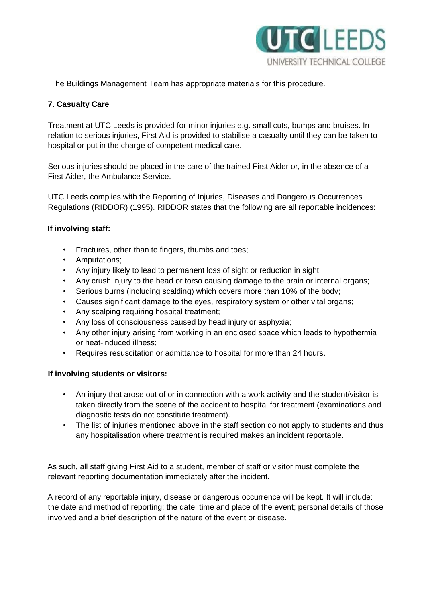

The Buildings Management Team has appropriate materials for this procedure.

## **7. Casualty Care**

Treatment at UTC Leeds is provided for minor injuries e.g. small cuts, bumps and bruises. In relation to serious injuries, First Aid is provided to stabilise a casualty until they can be taken to hospital or put in the charge of competent medical care.

Serious injuries should be placed in the care of the trained First Aider or, in the absence of a First Aider, the Ambulance Service.

UTC Leeds complies with the Reporting of Injuries, Diseases and Dangerous Occurrences Regulations (RIDDOR) (1995). RIDDOR states that the following are all reportable incidences:

## **If involving staff:**

- Fractures, other than to fingers, thumbs and toes;
- Amputations;
- Any injury likely to lead to permanent loss of sight or reduction in sight;
- Any crush injury to the head or torso causing damage to the brain or internal organs;
- Serious burns (including scalding) which covers more than 10% of the body;
- Causes significant damage to the eyes, respiratory system or other vital organs;
- Any scalping requiring hospital treatment;
- Any loss of consciousness caused by head injury or asphyxia;
- Any other injury arising from working in an enclosed space which leads to hypothermia or heat-induced illness;
- Requires resuscitation or admittance to hospital for more than 24 hours.

## **If involving students or visitors:**

- An injury that arose out of or in connection with a work activity and the student/visitor is taken directly from the scene of the accident to hospital for treatment (examinations and diagnostic tests do not constitute treatment).
- The list of injuries mentioned above in the staff section do not apply to students and thus any hospitalisation where treatment is required makes an incident reportable.

As such, all staff giving First Aid to a student, member of staff or visitor must complete the relevant reporting documentation immediately after the incident.

A record of any reportable injury, disease or dangerous occurrence will be kept. It will include: the date and method of reporting; the date, time and place of the event; personal details of those involved and a brief description of the nature of the event or disease.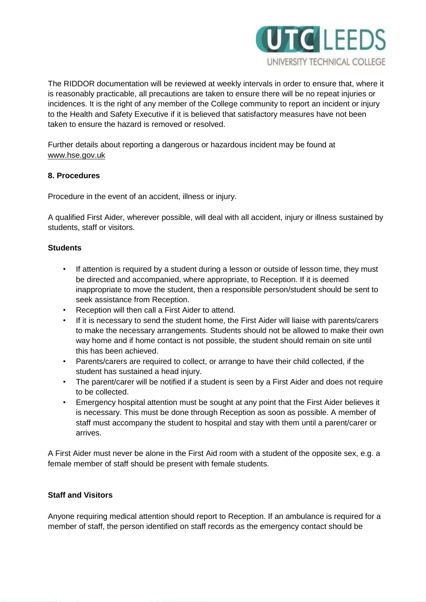

The RIDDOR documentation will be reviewed at weekly intervals in order to ensure that, where it is reasonably practicable, all precautions are taken to ensure there will be no repeat injuries or incidences. It is the right of any member of the College community to report an incident or injury to the Health and Safety Executive if it is believed that satisfactory measures have not been taken to ensure the hazard is removed or resolved.

Further details about reporting a dangerous or hazardous incident may be found at [www.hse.gov.uk](http://www.hse.gov.uk/)

## **8. Procedures**

Procedure in the event of an accident, illness or injury.

A qualified First Aider, wherever possible, will deal with all accident, injury or illness sustained by students, staff or visitors.

## **Students**

- If attention is required by a student during a lesson or outside of lesson time, they must be directed and accompanied, where appropriate, to Reception. If it is deemed inappropriate to move the student, then a responsible person/student should be sent to seek assistance from Reception.
- Reception will then call a First Aider to attend.
- If it is necessary to send the student home, the First Aider will liaise with parents/carers to make the necessary arrangements. Students should not be allowed to make their own way home and if home contact is not possible, the student should remain on site until this has been achieved.
- Parents/carers are required to collect, or arrange to have their child collected, if the student has sustained a head injury.
- The parent/carer will be notified if a student is seen by a First Aider and does not require to be collected.
- Emergency hospital attention must be sought at any point that the First Aider believes it is necessary. This must be done through Reception as soon as possible. A member of staff must accompany the student to hospital and stay with them until a parent/carer or arrives.

A First Aider must never be alone in the First Aid room with a student of the opposite sex, e.g. a female member of staff should be present with female students.

## **Staff and Visitors**

Anyone requiring medical attention should report to Reception. If an ambulance is required for a member of staff, the person identified on staff records as the emergency contact should be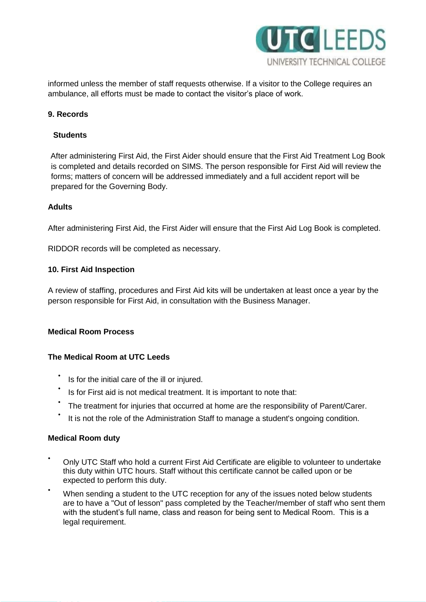

informed unless the member of staff requests otherwise. If a visitor to the College requires an ambulance, all efforts must be made to contact the visitor's place of work.

## **9. Records**

## **Students**

After administering First Aid, the First Aider should ensure that the First Aid Treatment Log Book is completed and details recorded on SIMS. The person responsible for First Aid will review the forms; matters of concern will be addressed immediately and a full accident report will be prepared for the Governing Body.

## **Adults**

After administering First Aid, the First Aider will ensure that the First Aid Log Book is completed.

RIDDOR records will be completed as necessary.

## **10. First Aid Inspection**

A review of staffing, procedures and First Aid kits will be undertaken at least once a year by the person responsible for First Aid, in consultation with the Business Manager.

# **Medical Room Process**

## **The Medical Room at UTC Leeds**

- Is for the initial care of the ill or injured.
- Is for First aid is not medical treatment. It is important to note that:
- The treatment for injuries that occurred at home are the responsibility of Parent/Carer.
- It is not the role of the Administration Staff to manage a student's ongoing condition.

## **Medical Room duty**

- Only UTC Staff who hold a current First Aid Certificate are eligible to volunteer to undertake this duty within UTC hours. Staff without this certificate cannot be called upon or be expected to perform this duty.
- When sending a student to the UTC reception for any of the issues noted below students are to have a "Out of lesson" pass completed by the Teacher/member of staff who sent them with the student's full name, class and reason for being sent to Medical Room. This is a legal requirement.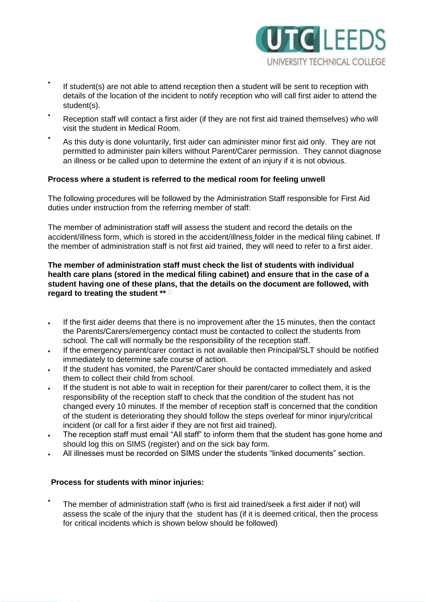

- If student(s) are not able to attend reception then a student will be sent to reception with details of the location of the incident to notify reception who will call first aider to attend the student(s).
- Reception staff will contact a first aider (if they are not first aid trained themselves) who will visit the student in Medical Room.
- As this duty is done voluntarily, first aider can administer minor first aid only. They are not permitted to administer pain killers without Parent/Carer permission. They cannot diagnose an illness or be called upon to determine the extent of an injury if it is not obvious.

#### **Process where a student is referred to the medical room for feeling unwell**

The following procedures will be followed by the Administration Staff responsible for First Aid duties under instruction from the referring member of staff:

The member of administration staff will assess the student and record the details on the accident/illness form, which is stored in the accident/illness folder in the medical filing cabinet. If the member of administration staff is not first aid trained, they will need to refer to a first aider.

**The member of administration staff must check the list of students with individual health care plans (stored in the medical filing cabinet) and ensure that in the case of a student having one of these plans, that the details on the document are followed, with regard to treating the student \*\*** 

- If the first aider deems that there is no improvement after the 15 minutes, then the contact the Parents/Carers/emergency contact must be contacted to collect the students from school. The call will normally be the responsibility of the reception staff.
- If the emergency parent/carer contact is not available then Principal/SLT should be notified immediately to determine safe course of action.
- If the student has vomited, the Parent/Carer should be contacted immediately and asked them to collect their child from school.
- If the student is not able to wait in reception for their parent/carer to collect them, it is the responsibility of the reception staff to check that the condition of the student has not changed every 10 minutes. If the member of reception staff is concerned that the condition of the student is deteriorating they should follow the steps overleaf for minor injury/critical incident (or call for a first aider if they are not first aid trained).
- The reception staff must email "All staff" to inform them that the student has gone home and should log this on SIMS (register) and on the sick bay form.
- All illnesses must be recorded on SIMS under the students "linked documents" section.

## **Process for students with minor injuries:**

• The member of administration staff (who is first aid trained/seek a first aider if not) will assess the scale of the injury that the student has (if it is deemed critical, then the process for critical incidents which is shown below should be followed)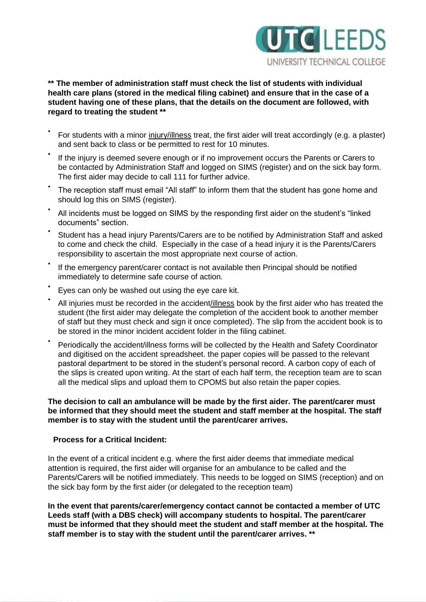

## **\*\* The member of administration staff must check the list of students with individual health care plans (stored in the medical filing cabinet) and ensure that in the case of a student having one of these plans, that the details on the document are followed, with regard to treating the student \*\***

- For students with a minor injury/illness treat, the first aider will treat accordingly (e.g. a plaster) and sent back to class or be permitted to rest for 10 minutes.
- If the injury is deemed severe enough or if no improvement occurs the Parents or Carers to be contacted by Administration Staff and logged on SIMS (register) and on the sick bay form. The first aider may decide to call 111 for further advice.
- The reception staff must email "All staff" to inform them that the student has gone home and should log this on SIMS (register).
- All incidents must be logged on SIMS by the responding first aider on the student's "linked documents" section.
- Student has a head injury Parents/Carers are to be notified by Administration Staff and asked to come and check the child. Especially in the case of a head injury it is the Parents/Carers responsibility to ascertain the most appropriate next course of action.
- If the emergency parent/carer contact is not available then Principal should be notified immediately to determine safe course of action.
- Eyes can only be washed out using the eye care kit.
- All injuries must be recorded in the accident/illness book by the first aider who has treated the student (the first aider may delegate the completion of the accident book to another member of staff but they must check and sign it once completed). The slip from the accident book is to be stored in the minor incident accident folder in the filing cabinet.
- Periodically the accident/illness forms will be collected by the Health and Safety Coordinator and digitised on the accident spreadsheet. the paper copies will be passed to the relevant pastoral department to be stored in the student's personal record. A carbon copy of each of the slips is created upon writing. At the start of each half term, the reception team are to scan all the medical slips and upload them to CPOMS but also retain the paper copies.

## **The decision to call an ambulance will be made by the first aider. The parent/carer must be informed that they should meet the student and staff member at the hospital. The staff member is to stay with the student until the parent/carer arrives.**

## **Process for a Critical Incident:**

In the event of a critical incident e.g. where the first aider deems that immediate medical attention is required, the first aider will organise for an ambulance to be called and the Parents/Carers will be notified immediately. This needs to be logged on SIMS (reception) and on the sick bay form by the first aider (or delegated to the reception team)

**In the event that parents/carer/emergency contact cannot be contacted a member of UTC Leeds staff (with a DBS check) will accompany students to hospital. The parent/carer must be informed that they should meet the student and staff member at the hospital. The staff member is to stay with the student until the parent/carer arrives. \*\***